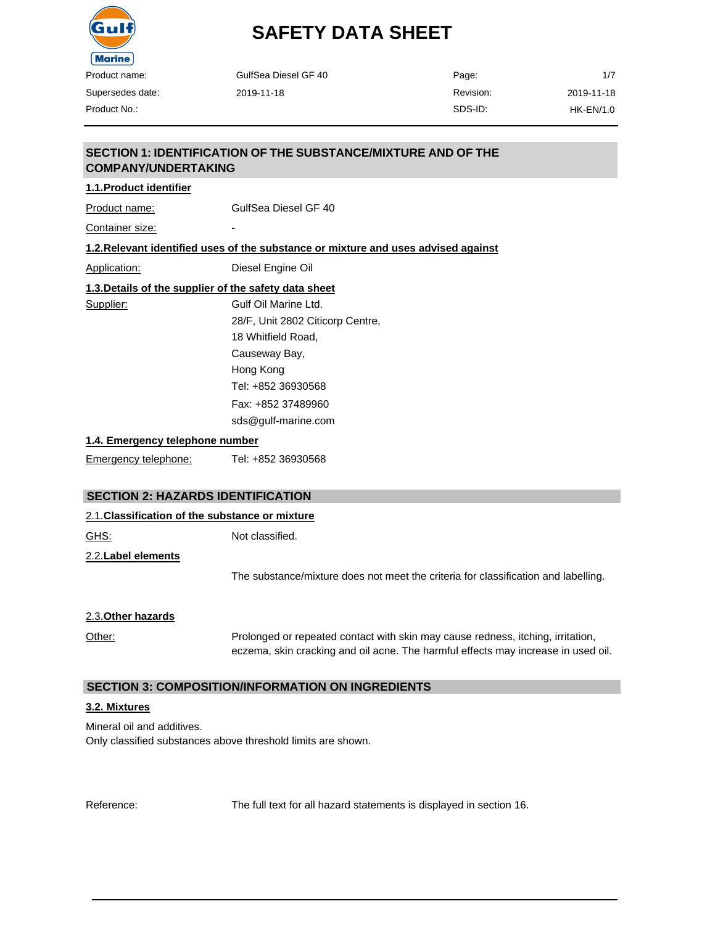

| <b>Marine</b>                   |                                                                                    |           |                  |
|---------------------------------|------------------------------------------------------------------------------------|-----------|------------------|
| Product name:                   | GulfSea Diesel GF 40                                                               | Page:     | 1/7              |
| Supersedes date:                | 2019-11-18                                                                         | Revision: | 2019-11-18       |
| Product No.:                    |                                                                                    | SDS-ID:   | <b>HK-EN/1.0</b> |
|                                 | SECTION 1: IDENTIFICATION OF THE SUBSTANCE/MIXTURE AND OF THE                      |           |                  |
| <b>COMPANY/UNDERTAKING</b>      |                                                                                    |           |                  |
| 1.1. Product identifier         |                                                                                    |           |                  |
| Product name:                   | GulfSea Diesel GF 40                                                               |           |                  |
| Container size:                 |                                                                                    |           |                  |
|                                 | 1.2. Relevant identified uses of the substance or mixture and uses advised against |           |                  |
| Application:                    | Diesel Engine Oil                                                                  |           |                  |
|                                 | 1.3. Details of the supplier of the safety data sheet                              |           |                  |
| Supplier:                       | Gulf Oil Marine Ltd.                                                               |           |                  |
|                                 | 28/F, Unit 2802 Citicorp Centre,                                                   |           |                  |
|                                 | 18 Whitfield Road.                                                                 |           |                  |
|                                 | Causeway Bay,                                                                      |           |                  |
|                                 | Hong Kong                                                                          |           |                  |
|                                 | Tel: +852 36930568                                                                 |           |                  |
|                                 | Fax: +852 37489960                                                                 |           |                  |
|                                 | sds@gulf-marine.com                                                                |           |                  |
| 1.4. Emergency telephone number |                                                                                    |           |                  |
| Emergency telephone:            | Tel: +852 36930568                                                                 |           |                  |

# **SECTION 2: HAZARDS IDENTIFICATION**

| 2.1. Classification of the substance or mixture |                                                                                                                                                                      |  |
|-------------------------------------------------|----------------------------------------------------------------------------------------------------------------------------------------------------------------------|--|
| <u>GHS:</u>                                     | Not classified.                                                                                                                                                      |  |
| 2.2. Label elements                             |                                                                                                                                                                      |  |
|                                                 | The substance/mixture does not meet the criteria for classification and labelling.                                                                                   |  |
| 2.3. Other hazards                              |                                                                                                                                                                      |  |
| Other:                                          | Prolonged or repeated contact with skin may cause redness, itching, irritation,<br>eczema, skin cracking and oil acne. The harmful effects may increase in used oil. |  |

# **SECTION 3: COMPOSITION/INFORMATION ON INGREDIENTS**

#### **3.2. Mixtures**

Mineral oil and additives. Only classified substances above threshold limits are shown.

Reference: The full text for all hazard statements is displayed in section 16.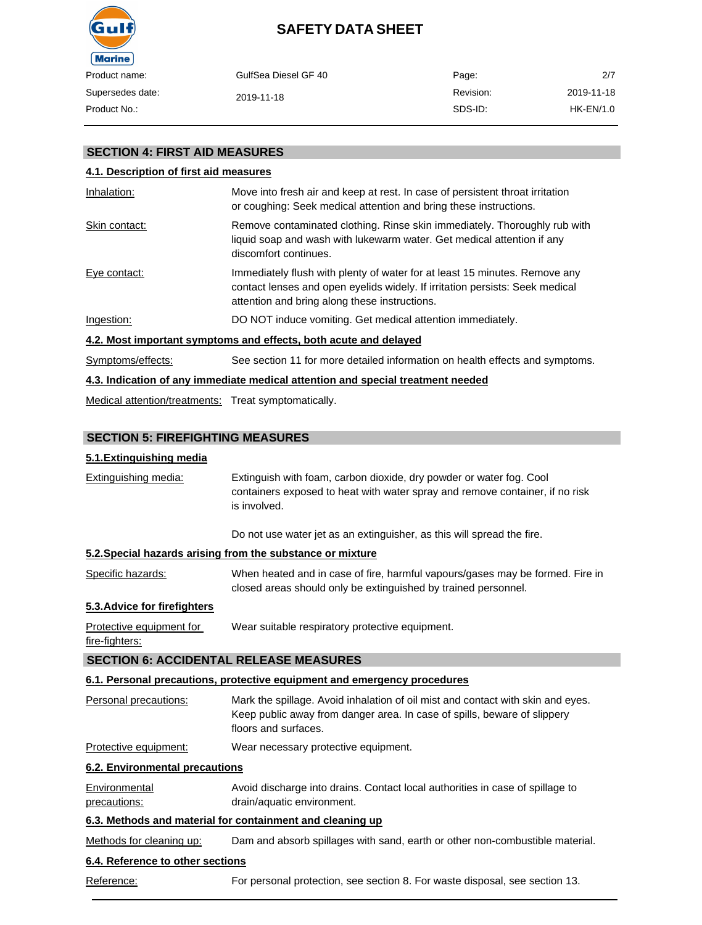

| oduct name:    | GulfSea Diesel GF 40 | Page:     | 2/7        |
|----------------|----------------------|-----------|------------|
| persedes date: | 2019-11-18           | Revision: | 2019-11-18 |
| oduct No∴      |                      | SDS-ID:   | HK-EN/1.0  |
|                |                      |           |            |

### **SECTION 4: FIRST AID MEASURES**

### **4.1. Description of first aid measures**

| Inhalation:       | Move into fresh air and keep at rest. In case of persistent throat irritation<br>or coughing: Seek medical attention and bring these instructions.                                                          |
|-------------------|-------------------------------------------------------------------------------------------------------------------------------------------------------------------------------------------------------------|
| Skin contact:     | Remove contaminated clothing. Rinse skin immediately. Thoroughly rub with<br>liquid soap and wash with lukewarm water. Get medical attention if any<br>discomfort continues.                                |
| Eye contact:      | Immediately flush with plenty of water for at least 15 minutes. Remove any<br>contact lenses and open eyelids widely. If irritation persists: Seek medical<br>attention and bring along these instructions. |
| Ingestion:        | DO NOT induce vomiting. Get medical attention immediately.                                                                                                                                                  |
|                   | 4.2. Most important symptoms and effects, both acute and delayed                                                                                                                                            |
| Symptoms/effects: | See section 11 for more detailed information on health effects and symptoms.                                                                                                                                |
|                   | 4.3. Indication of any immediate medical attention and special treatment needed                                                                                                                             |

Medical attention/treatments: Treat symptomatically.

# **SECTION 5: FIREFIGHTING MEASURES**

### **5.1.Extinguishing media**

| <b>Extinguishing media:</b>                   | Extinguish with foam, carbon dioxide, dry powder or water fog. Cool<br>containers exposed to heat with water spray and remove container, if no risk<br>is involved.                 |
|-----------------------------------------------|-------------------------------------------------------------------------------------------------------------------------------------------------------------------------------------|
|                                               | Do not use water jet as an extinguisher, as this will spread the fire.                                                                                                              |
|                                               | 5.2. Special hazards arising from the substance or mixture                                                                                                                          |
| Specific hazards:                             | When heated and in case of fire, harmful vapours/gases may be formed. Fire in<br>closed areas should only be extinguished by trained personnel.                                     |
| 5.3. Advice for firefighters                  |                                                                                                                                                                                     |
| Protective equipment for<br>fire-fighters:    | Wear suitable respiratory protective equipment.                                                                                                                                     |
| <b>SECTION 6: ACCIDENTAL RELEASE MEASURES</b> |                                                                                                                                                                                     |
|                                               | 6.1. Personal precautions, protective equipment and emergency procedures                                                                                                            |
| Personal precautions:                         | Mark the spillage. Avoid inhalation of oil mist and contact with skin and eyes.<br>Keep public away from danger area. In case of spills, beware of slippery<br>floors and surfaces. |
| Protective equipment:                         | Wear necessary protective equipment.                                                                                                                                                |
| <b>6.2. Environmental precautions</b>         |                                                                                                                                                                                     |
| <b>Environmental</b><br>precautions:          | Avoid discharge into drains. Contact local authorities in case of spillage to<br>drain/aquatic environment.                                                                         |
|                                               | 6.3. Methods and material for containment and cleaning up                                                                                                                           |
| Methods for cleaning up:                      | Dam and absorb spillages with sand, earth or other non-combustible material.                                                                                                        |
| 6.4. Reference to other sections              |                                                                                                                                                                                     |
| Reference:                                    | For personal protection, see section 8. For waste disposal, see section 13.                                                                                                         |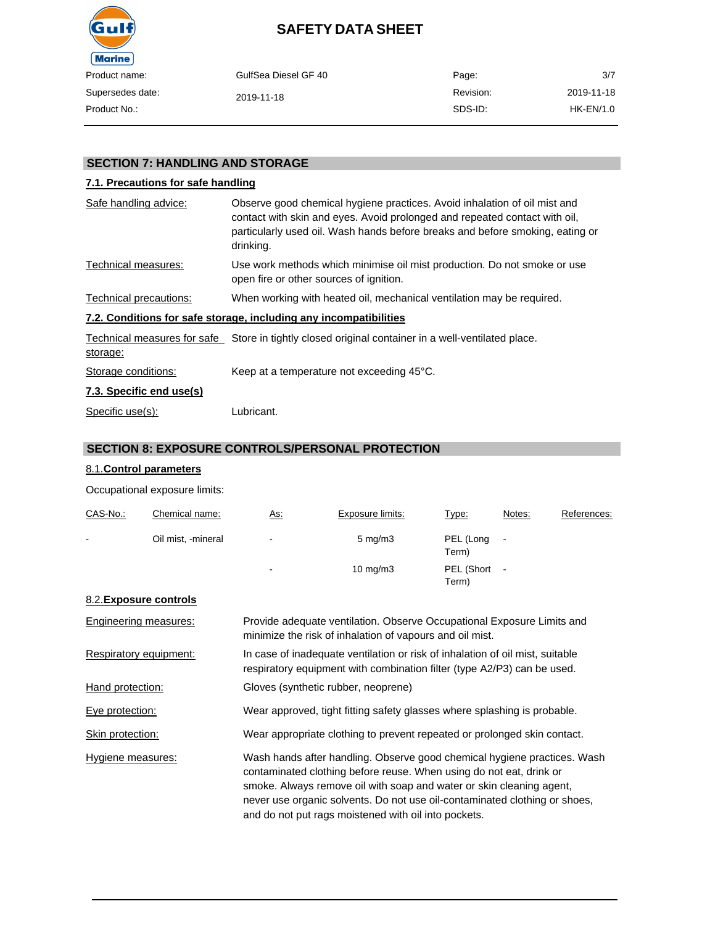

| ct name:    | GulfSea Diesel GF 40 | Page:     | 3/7        |
|-------------|----------------------|-----------|------------|
| sedes date: | 2019-11-18           | Revision: | 2019-11-18 |
| ct No.:     |                      | SDS-ID:   | HK-EN/1.0  |

# **SECTION 7: HANDLING AND STORAGE**

### **7.1. Precautions for safe handling**

| Safe handling advice:    | Observe good chemical hygiene practices. Avoid inhalation of oil mist and<br>contact with skin and eyes. Avoid prolonged and repeated contact with oil,<br>particularly used oil. Wash hands before breaks and before smoking, eating or<br>drinking. |
|--------------------------|-------------------------------------------------------------------------------------------------------------------------------------------------------------------------------------------------------------------------------------------------------|
| Technical measures:      | Use work methods which minimise oil mist production. Do not smoke or use<br>open fire or other sources of ignition.                                                                                                                                   |
| Technical precautions:   | When working with heated oil, mechanical ventilation may be required.                                                                                                                                                                                 |
|                          | 7.2. Conditions for safe storage, including any incompatibilities                                                                                                                                                                                     |
| storage:                 | Technical measures for safe Store in tightly closed original container in a well-ventilated place.                                                                                                                                                    |
| Storage conditions:      | Keep at a temperature not exceeding 45°C.                                                                                                                                                                                                             |
| 7.3. Specific end use(s) |                                                                                                                                                                                                                                                       |
| Specific use(s):         | Lubricant.                                                                                                                                                                                                                                            |

### **SECTION 8: EXPOSURE CONTROLS/PERSONAL PROTECTION**

#### 8.1.**Control parameters**

Occupational exposure limits:

| CAS-No.:                             | Chemical name: | <u>As:</u>     | Exposure limits:   | Type:               | Notes:                   | References: |
|--------------------------------------|----------------|----------------|--------------------|---------------------|--------------------------|-------------|
| Oil mist, -mineral<br>$\blacksquare$ |                | $\blacksquare$ | $5 \text{ mg/m}$ 3 | PEL (Long<br>Term)  | $\overline{\phantom{a}}$ |             |
|                                      |                | $\blacksquare$ | $10 \text{ mg/m}$  | PEL (Short<br>Term) | $\overline{\phantom{a}}$ |             |

#### 8.2.**Exposure controls**

| <b>Engineering measures:</b> | Provide adequate ventilation. Observe Occupational Exposure Limits and<br>minimize the risk of inhalation of vapours and oil mist.                                                                                                                                                                                                                            |
|------------------------------|---------------------------------------------------------------------------------------------------------------------------------------------------------------------------------------------------------------------------------------------------------------------------------------------------------------------------------------------------------------|
| Respiratory equipment:       | In case of inadequate ventilation or risk of inhalation of oil mist, suitable<br>respiratory equipment with combination filter (type A2/P3) can be used.                                                                                                                                                                                                      |
| Hand protection:             | Gloves (synthetic rubber, neoprene)                                                                                                                                                                                                                                                                                                                           |
| Eye protection:              | Wear approved, tight fitting safety glasses where splashing is probable.                                                                                                                                                                                                                                                                                      |
| Skin protection:             | Wear appropriate clothing to prevent repeated or prolonged skin contact.                                                                                                                                                                                                                                                                                      |
| Hygiene measures:            | Wash hands after handling. Observe good chemical hygiene practices. Wash<br>contaminated clothing before reuse. When using do not eat, drink or<br>smoke. Always remove oil with soap and water or skin cleaning agent,<br>never use organic solvents. Do not use oil-contaminated clothing or shoes,<br>and do not put rags moistened with oil into pockets. |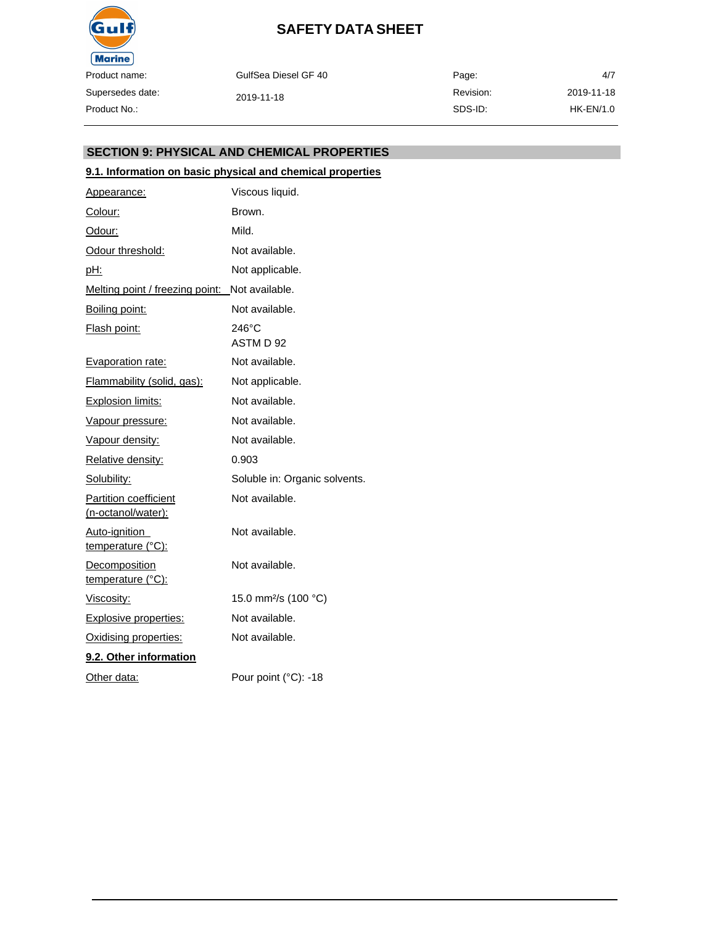

GulfSea Diesel GF 40 2019-11-18 Page: Revision: SDS-ID: 4/7 2019-11-18 HK-EN/1.0

### **SECTION 9: PHYSICAL AND CHEMICAL PROPERTIES**

### **9.1. Information on basic physical and chemical properties**

| Appearance:                                        | Viscous liquid.                  |
|----------------------------------------------------|----------------------------------|
| Colour:                                            | Brown.                           |
| Odour:                                             | Mild.                            |
| Odour threshold:                                   | Not available.                   |
| <u>pH:</u>                                         | Not applicable.                  |
| Melting point / freezing point:                    | Not available.                   |
| Boiling point:                                     | Not available.                   |
| Flash point:                                       | $246^{\circ}$ C<br>ASTM D 92     |
| <b>Evaporation rate:</b>                           | Not available.                   |
| Flammability (solid, gas):                         | Not applicable.                  |
| <b>Explosion limits:</b>                           | Not available.                   |
| Vapour pressure:                                   | Not available.                   |
| Vapour density:                                    | Not available.                   |
| Relative density:                                  | 0.903                            |
| Solubility:                                        | Soluble in: Organic solvents.    |
| <b>Partition coefficient</b><br>(n-octanol/water): | Not available.                   |
| Auto-ignition<br>temperature (°C):                 | Not available.                   |
| Decomposition<br>temperature (°C):                 | Not available.                   |
| Viscosity:                                         | 15.0 mm <sup>2</sup> /s (100 °C) |
| <b>Explosive properties:</b>                       | Not available.                   |
| Oxidising properties:                              | Not available.                   |
| 9.2. Other information                             |                                  |
| Other data:                                        | Pour point (°C): -18             |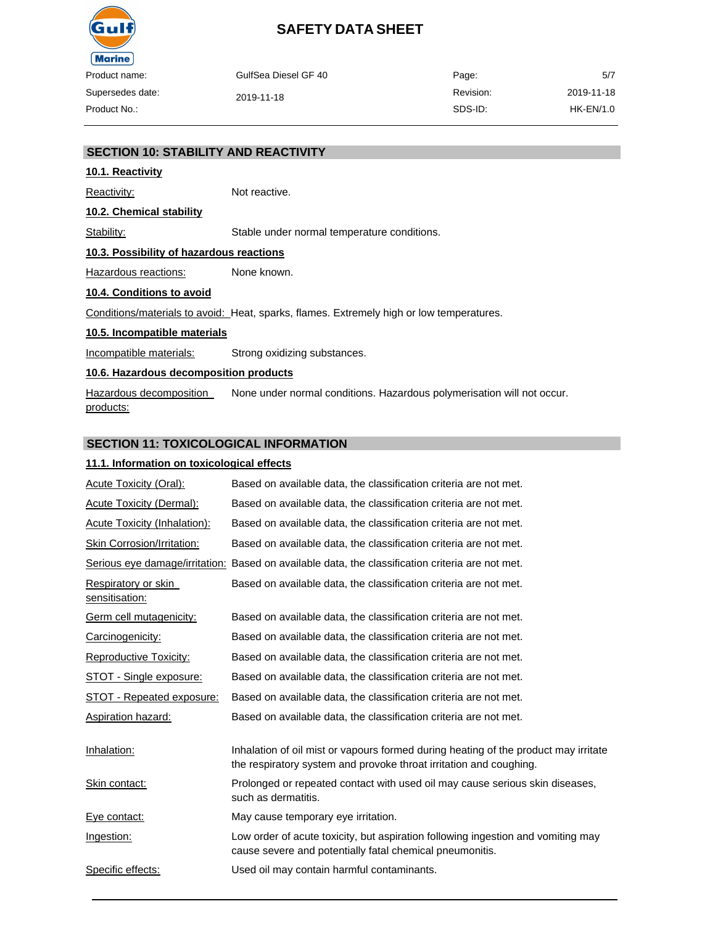

| name:     | GulfSea Diesel GF 40 | Page:     | 5/7        |
|-----------|----------------------|-----------|------------|
| des date: | 2019-11-18           | Revision: | 2019-11-18 |
| No.:      |                      | SDS-ID:   | HK-EN/1.0  |

#### **SECTION 10: STABILITY AND REACTIVITY**

#### **10.1. Reactivity**

Reactivity: Not reactive.

#### **10.2. Chemical stability**

Stability: Stable under normal temperature conditions.

#### **10.3. Possibility of hazardous reactions**

Hazardous reactions: None known.

#### **10.4. Conditions to avoid**

Conditions/materials to avoid: Heat, sparks, flames. Extremely high or low temperatures.

#### **10.5. Incompatible materials**

Incompatible materials: Strong oxidizing substances.

#### **10.6. Hazardous decomposition products**

Hazardous decomposition products: None under normal conditions. Hazardous polymerisation will not occur.

#### **SECTION 11: TOXICOLOGICAL INFORMATION**

#### **11.1. Information on toxicological effects**

| <b>Acute Toxicity (Oral):</b>         | Based on available data, the classification criteria are not met.                                                                                         |
|---------------------------------------|-----------------------------------------------------------------------------------------------------------------------------------------------------------|
| <b>Acute Toxicity (Dermal):</b>       | Based on available data, the classification criteria are not met.                                                                                         |
| Acute Toxicity (Inhalation):          | Based on available data, the classification criteria are not met.                                                                                         |
| Skin Corrosion/Irritation:            | Based on available data, the classification criteria are not met.                                                                                         |
|                                       | Serious eye damage/irritation: Based on available data, the classification criteria are not met.                                                          |
| Respiratory or skin<br>sensitisation: | Based on available data, the classification criteria are not met.                                                                                         |
| Germ cell mutagenicity:               | Based on available data, the classification criteria are not met.                                                                                         |
| Carcinogenicity:                      | Based on available data, the classification criteria are not met.                                                                                         |
| Reproductive Toxicity:                | Based on available data, the classification criteria are not met.                                                                                         |
| STOT - Single exposure:               | Based on available data, the classification criteria are not met.                                                                                         |
| STOT - Repeated exposure:             | Based on available data, the classification criteria are not met.                                                                                         |
| <b>Aspiration hazard:</b>             | Based on available data, the classification criteria are not met.                                                                                         |
| Inhalation:                           | Inhalation of oil mist or vapours formed during heating of the product may irritate<br>the respiratory system and provoke throat irritation and coughing. |
| Skin contact:                         | Prolonged or repeated contact with used oil may cause serious skin diseases,<br>such as dermatitis.                                                       |
| Eye contact:                          | May cause temporary eye irritation.                                                                                                                       |
| Ingestion:                            | Low order of acute toxicity, but aspiration following ingestion and vomiting may<br>cause severe and potentially fatal chemical pneumonitis.              |
| Specific effects:                     | Used oil may contain harmful contaminants.                                                                                                                |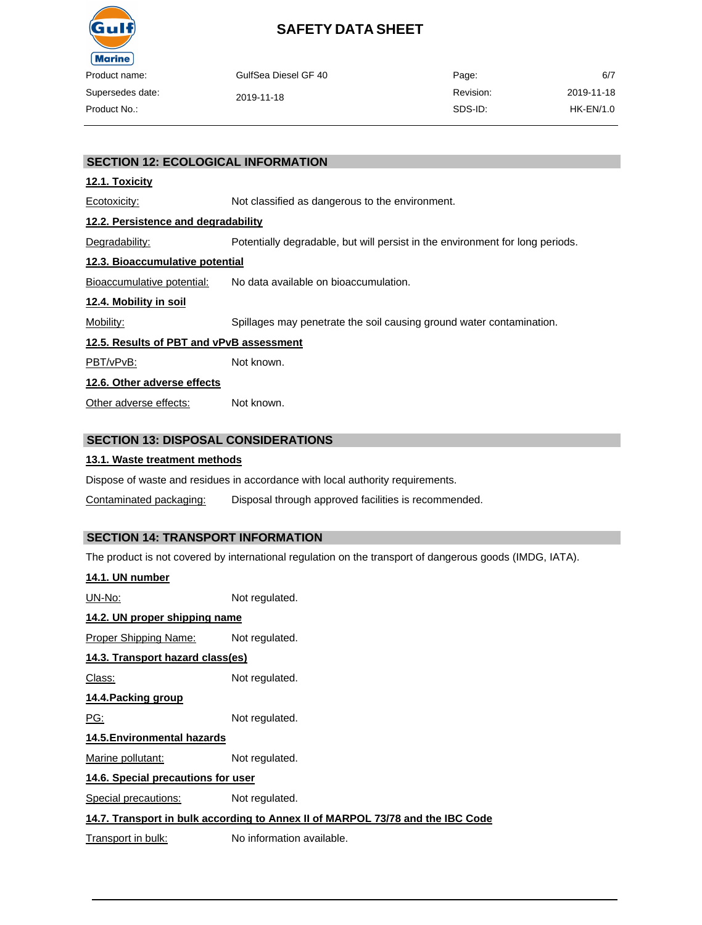

| oduct name:    | GulfSea Diesel GF 40 | Page:     | 6/7        |
|----------------|----------------------|-----------|------------|
| persedes date: | 2019-11-18           | Revision: | 2019-11-18 |
| oduct No.:-    |                      | SDS-ID:   | HK-EN/1.0  |
|                |                      |           |            |

#### **SECTION 12: ECOLOGICAL INFORMATION**

#### **12.1. Toxicity**

Ecotoxicity: Not classified as dangerous to the environment. **12.2. Persistence and degradability**

Degradability: Potentially degradable, but will persist in the environment for long periods.

#### **12.3. Bioaccumulative potential**

Bioaccumulative potential: No data available on bioaccumulation.

#### **12.4. Mobility in soil**

Mobility: Spillages may penetrate the soil causing ground water contamination.

#### **12.5. Results of PBT and vPvB assessment**

PBT/vPvB: Not known.

#### **12.6. Other adverse effects**

Other adverse effects: Not known.

### **SECTION 13: DISPOSAL CONSIDERATIONS**

#### **13.1. Waste treatment methods**

Dispose of waste and residues in accordance with local authority requirements.

Contaminated packaging: Disposal through approved facilities is recommended.

### **SECTION 14: TRANSPORT INFORMATION**

The product is not covered by international regulation on the transport of dangerous goods (IMDG, IATA).

| <u>14.1. UN number</u>             |                                                                                |
|------------------------------------|--------------------------------------------------------------------------------|
| UN-No:                             | Not regulated.                                                                 |
| 14.2. UN proper shipping name      |                                                                                |
| Proper Shipping Name:              | Not regulated.                                                                 |
| 14.3. Transport hazard class(es)   |                                                                                |
| Class:                             | Not regulated.                                                                 |
| 14.4.Packing group                 |                                                                                |
| <u>PG:</u>                         | Not regulated.                                                                 |
| 14.5. Environmental hazards        |                                                                                |
| Marine pollutant:                  | Not regulated.                                                                 |
| 14.6. Special precautions for user |                                                                                |
| Special precautions:               | Not regulated.                                                                 |
|                                    | 14.7. Transport in bulk according to Annex II of MARPOL 73/78 and the IBC Code |
| Transport in bulk:                 | No information available.                                                      |